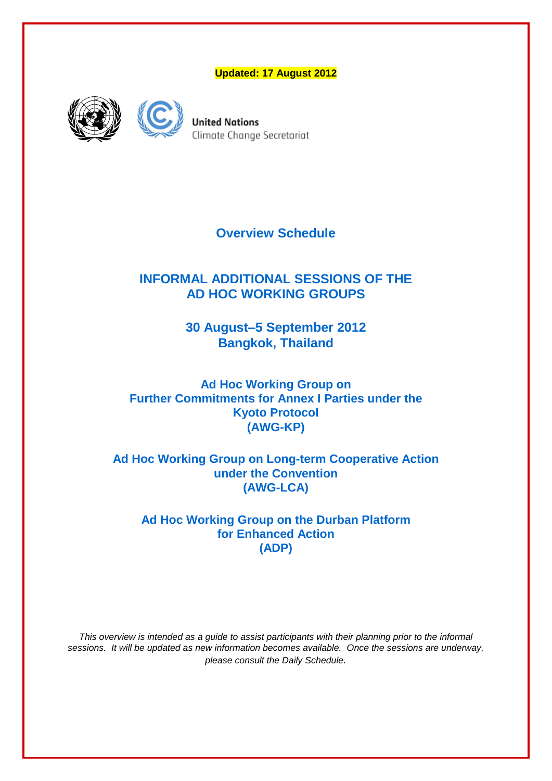**Updated: 17 August 2012**





**United Nations** Climate Change Secretariat

**Overview Schedule**

# **INFORMAL ADDITIONAL SESSIONS OF THE AD HOC WORKING GROUPS**

**30 August–5 September 2012 Bangkok, Thailand**

**Ad Hoc Working Group on Further Commitments for Annex I Parties under the Kyoto Protocol (AWG-KP)**

**Ad Hoc Working Group on Long-term Cooperative Action under the Convention (AWG-LCA)**

**Ad Hoc Working Group on the Durban Platform for Enhanced Action (ADP)** 

*This overview is intended as a guide to assist participants with their planning prior to the informal sessions. It will be updated as new information becomes available. Once the sessions are underway, please consult the Daily Schedule.*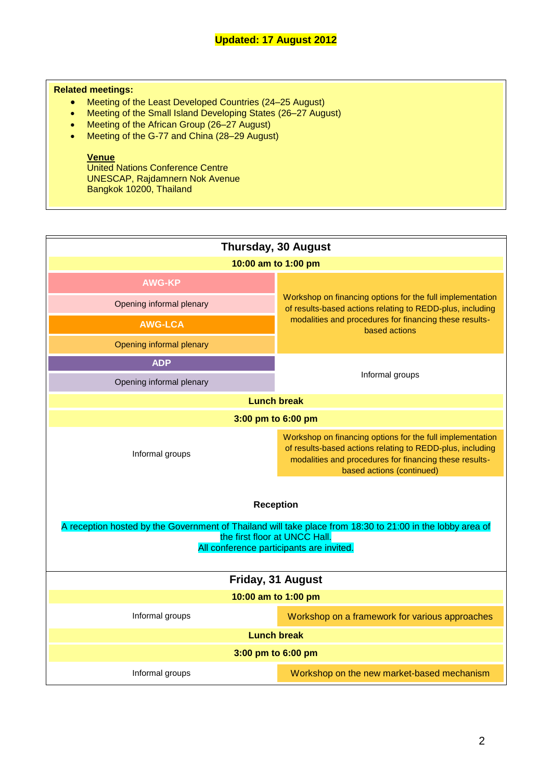## **Related meetings:**

- Meeting of the Least Developed Countries (24–25 August)
- Meeting of the Small Island Developing States (26–27 August)
- Meeting of the African Group (26-27 August)
- Meeting of the G-77 and China (28-29 August)

### **Venue**

United Nations Conference Centre UNESCAP, Rajdamnern Nok Avenue Bangkok 10200, Thailand

| <b>Thursday, 30 August</b>                                                                                                                                                                                 |                                                                                                                                                                                                               |  |
|------------------------------------------------------------------------------------------------------------------------------------------------------------------------------------------------------------|---------------------------------------------------------------------------------------------------------------------------------------------------------------------------------------------------------------|--|
| 10:00 am to 1:00 pm                                                                                                                                                                                        |                                                                                                                                                                                                               |  |
| <b>AWG-KP</b>                                                                                                                                                                                              |                                                                                                                                                                                                               |  |
| Opening informal plenary                                                                                                                                                                                   | Workshop on financing options for the full implementation<br>of results-based actions relating to REDD-plus, including                                                                                        |  |
| <b>AWG-LCA</b>                                                                                                                                                                                             | modalities and procedures for financing these results-<br>based actions                                                                                                                                       |  |
| Opening informal plenary                                                                                                                                                                                   |                                                                                                                                                                                                               |  |
| <b>ADP</b>                                                                                                                                                                                                 | Informal groups                                                                                                                                                                                               |  |
| Opening informal plenary                                                                                                                                                                                   |                                                                                                                                                                                                               |  |
| <b>Lunch break</b>                                                                                                                                                                                         |                                                                                                                                                                                                               |  |
| 3:00 pm to 6:00 pm                                                                                                                                                                                         |                                                                                                                                                                                                               |  |
| Informal groups                                                                                                                                                                                            | Workshop on financing options for the full implementation<br>of results-based actions relating to REDD-plus, including<br>modalities and procedures for financing these results-<br>based actions (continued) |  |
| <b>Reception</b><br>A reception hosted by the Government of Thailand will take place from 18:30 to 21:00 in the lobby area of<br>the first floor at UNCC Hall.<br>All conference participants are invited. |                                                                                                                                                                                                               |  |
| Friday, 31 August                                                                                                                                                                                          |                                                                                                                                                                                                               |  |
| 10:00 am to 1:00 pm                                                                                                                                                                                        |                                                                                                                                                                                                               |  |
| Informal groups                                                                                                                                                                                            | Workshop on a framework for various approaches                                                                                                                                                                |  |
| <b>Lunch break</b>                                                                                                                                                                                         |                                                                                                                                                                                                               |  |
| 3:00 pm to 6:00 pm                                                                                                                                                                                         |                                                                                                                                                                                                               |  |
| Informal groups                                                                                                                                                                                            | Workshop on the new market-based mechanism                                                                                                                                                                    |  |